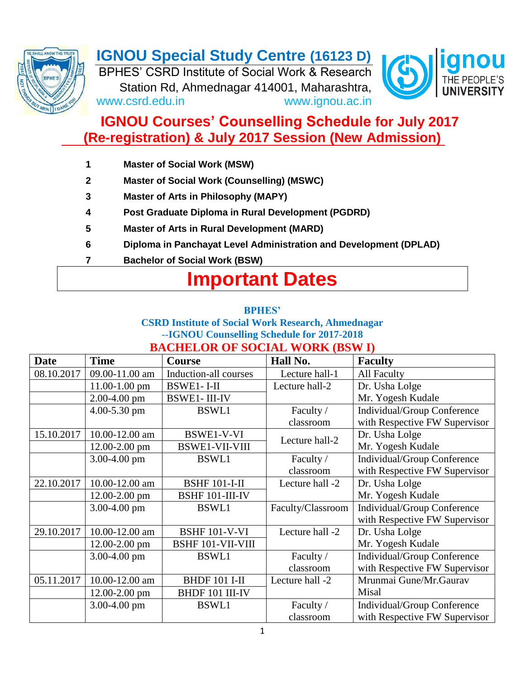

# **IGNOU Special Study Centre (16123 D)**

BPHES' CSRD Institute of Social Work & Research Station Rd, Ahmednagar 414001, Maharashtra, www.csrd.edu.in www.ignou.ac.in



# **IGNOU Courses' Counselling Schedule for July 2017 (Re-registration) & July 2017 Session (New Admission)**

- **1 Master of Social Work (MSW)**
- **2 Master of Social Work (Counselling) (MSWC)**
- **3 Master of Arts in Philosophy (MAPY)**
- **4 Post Graduate Diploma in Rural Development (PGDRD)**
- **5 Master of Arts in Rural Development (MARD)**
- **6 Diploma in Panchayat Level Administration and Development (DPLAD)**
- **7 Bachelor of Social Work (BSW)**

# **Important Dates**

#### **BPHES'**

### **CSRD Institute of Social Work Research, Ahmednagar** --**IGNOU Counselling Schedule for 2017-2018 BACHELOR OF SOCIAL WORK (BSW I)**

| <b>Date</b> | <b>Time</b>      | <b>Course</b>            | Hall No.          | <b>Faculty</b>                |
|-------------|------------------|--------------------------|-------------------|-------------------------------|
| 08.10.2017  | 09.00-11.00 am   | Induction-all courses    | Lecture hall-1    | <b>All Faculty</b>            |
|             | 11.00-1.00 pm    | <b>BSWE1-I-II</b>        | Lecture hall-2    | Dr. Usha Lolge                |
|             | 2.00-4.00 pm     | <b>BSWE1-III-IV</b>      |                   | Mr. Yogesh Kudale             |
|             | 4.00-5.30 pm     | <b>BSWL1</b>             | Faculty /         | Individual/Group Conference   |
|             |                  |                          | classroom         | with Respective FW Supervisor |
| 15.10.2017  | 10.00-12.00 am   | BSWE1-V-VI               | Lecture hall-2    | Dr. Usha Lolge                |
|             | 12.00-2.00 pm    | <b>BSWE1-VII-VIII</b>    |                   | Mr. Yogesh Kudale             |
|             | 3.00-4.00 pm     | <b>BSWL1</b>             | Faculty /         | Individual/Group Conference   |
|             |                  |                          | classroom         | with Respective FW Supervisor |
| 22.10.2017  | 10.00-12.00 am   | <b>BSHF 101-I-II</b>     | Lecture hall -2   | Dr. Usha Lolge                |
|             | 12.00-2.00 pm    | BSHF 101-III-IV          |                   | Mr. Yogesh Kudale             |
|             | $3.00 - 4.00$ pm | <b>BSWL1</b>             | Faculty/Classroom | Individual/Group Conference   |
|             |                  |                          |                   | with Respective FW Supervisor |
| 29.10.2017  | 10.00-12.00 am   | <b>BSHF 101-V-VI</b>     | Lecture hall -2   | Dr. Usha Lolge                |
|             | 12.00-2.00 pm    | <b>BSHF 101-VII-VIII</b> |                   | Mr. Yogesh Kudale             |
|             | 3.00-4.00 pm     | <b>BSWL1</b>             | Faculty /         | Individual/Group Conference   |
|             |                  |                          | classroom         | with Respective FW Supervisor |
| 05.11.2017  | 10.00-12.00 am   | <b>BHDF 101 I-II</b>     | Lecture hall -2   | Mrunmai Gune/Mr.Gaurav        |
|             | 12.00-2.00 pm    | <b>BHDF 101 III-IV</b>   |                   | Misal                         |
|             | 3.00-4.00 pm     | <b>BSWL1</b>             | Faculty /         | Individual/Group Conference   |
|             |                  |                          | classroom         | with Respective FW Supervisor |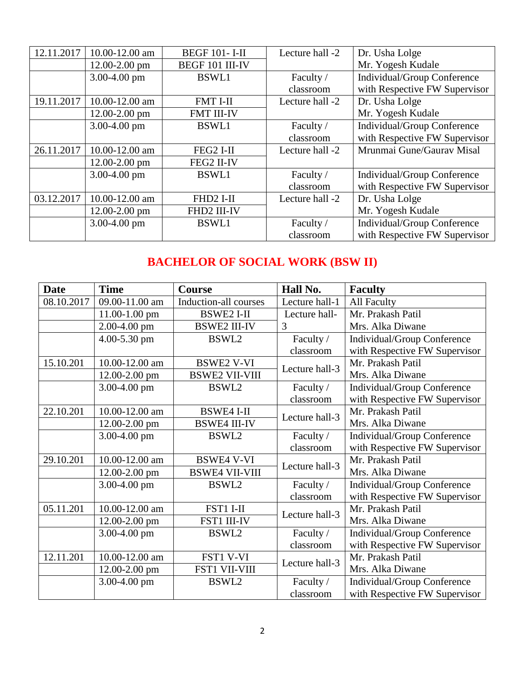| 12.11.2017 | 10.00-12.00 am    | <b>BEGF 101-I-II</b> | Lecture hall -2 | Dr. Usha Lolge                     |
|------------|-------------------|----------------------|-----------------|------------------------------------|
|            | 12.00-2.00 pm     | BEGF 101 III-IV      |                 | Mr. Yogesh Kudale                  |
|            | 3.00-4.00 pm      | <b>BSWL1</b>         | Faculty /       | <b>Individual/Group Conference</b> |
|            |                   |                      | classroom       | with Respective FW Supervisor      |
| 19.11.2017 | 10.00-12.00 am    | <b>FMT I-II</b>      | Lecture hall -2 | Dr. Usha Lolge                     |
|            | 12.00-2.00 pm     | <b>FMT III-IV</b>    |                 | Mr. Yogesh Kudale                  |
|            | 3.00-4.00 pm      | <b>BSWL1</b>         | Faculty /       | <b>Individual/Group Conference</b> |
|            |                   |                      | classroom       | with Respective FW Supervisor      |
| 26.11.2017 | 10.00-12.00 am    | FEG2 I-II            | Lecture hall -2 | Mrunmai Gune/Gaurav Misal          |
|            | $12.00 - 2.00$ pm | FEG2 II-IV           |                 |                                    |
|            | 3.00-4.00 pm      | <b>BSWL1</b>         | Faculty /       | Individual/Group Conference        |
|            |                   |                      | classroom       | with Respective FW Supervisor      |
| 03.12.2017 | 10.00-12.00 am    | FHD2 I-II            | Lecture hall -2 | Dr. Usha Lolge                     |
|            | 12.00-2.00 pm     | FHD2 III-IV          |                 | Mr. Yogesh Kudale                  |
|            | 3.00-4.00 pm      | <b>BSWL1</b>         | Faculty /       | <b>Individual/Group Conference</b> |
|            |                   |                      | classroom       | with Respective FW Supervisor      |

# **BACHELOR OF SOCIAL WORK (BSW II)**

| <b>Date</b> | <b>Time</b>      | Course                | Hall No.       | <b>Faculty</b>                |
|-------------|------------------|-----------------------|----------------|-------------------------------|
| 08.10.2017  | 09.00-11.00 am   | Induction-all courses | Lecture hall-1 | All Faculty                   |
|             | 11.00-1.00 pm    | <b>BSWE2 I-II</b>     | Lecture hall-  | Mr. Prakash Patil             |
|             | $2.00 - 4.00$ pm | <b>BSWE2 III-IV</b>   | 3              | Mrs. Alka Diwane              |
|             | 4.00-5.30 pm     | BSWL2                 | Faculty /      | Individual/Group Conference   |
|             |                  |                       | classroom      | with Respective FW Supervisor |
| 15.10.201   | 10.00-12.00 am   | <b>BSWE2 V-VI</b>     | Lecture hall-3 | Mr. Prakash Patil             |
|             | 12.00-2.00 pm    | <b>BSWE2 VII-VIII</b> |                | Mrs. Alka Diwane              |
|             | 3.00-4.00 pm     | BSWL2                 | Faculty /      | Individual/Group Conference   |
|             |                  |                       | classroom      | with Respective FW Supervisor |
| 22.10.201   | 10.00-12.00 am   | <b>BSWE4 I-II</b>     | Lecture hall-3 | Mr. Prakash Patil             |
|             | 12.00-2.00 pm    | <b>BSWE4 III-IV</b>   |                | Mrs. Alka Diwane              |
|             | 3.00-4.00 pm     | BSWL2                 | Faculty /      | Individual/Group Conference   |
|             |                  |                       | classroom      | with Respective FW Supervisor |
| 29.10.201   | 10.00-12.00 am   | <b>BSWE4 V-VI</b>     | Lecture hall-3 | Mr. Prakash Patil             |
|             | 12.00-2.00 pm    | <b>BSWE4 VII-VIII</b> |                | Mrs. Alka Diwane              |
|             | 3.00-4.00 pm     | BSWL2                 | Faculty /      | Individual/Group Conference   |
|             |                  |                       | classroom      | with Respective FW Supervisor |
| 05.11.201   | 10.00-12.00 am   | FST1 I-II             | Lecture hall-3 | Mr. Prakash Patil             |
|             | 12.00-2.00 pm    | FST1 III-IV           |                | Mrs. Alka Diwane              |
|             | 3.00-4.00 pm     | BSWL2                 | Faculty /      | Individual/Group Conference   |
|             |                  |                       | classroom      | with Respective FW Supervisor |
| 12.11.201   | 10.00-12.00 am   | FST1 V-VI             | Lecture hall-3 | Mr. Prakash Patil             |
|             | 12.00-2.00 pm    | FST1 VII-VIII         |                | Mrs. Alka Diwane              |
|             | 3.00-4.00 pm     | BSWL2                 | Faculty /      | Individual/Group Conference   |
|             |                  |                       | classroom      | with Respective FW Supervisor |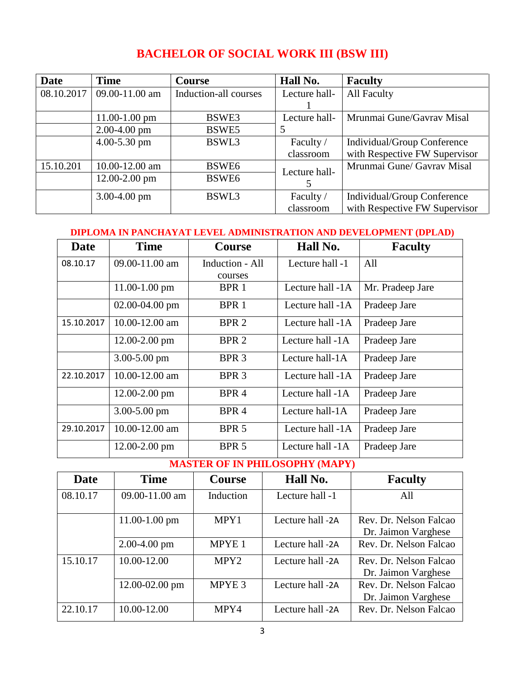# **BACHELOR OF SOCIAL WORK III (BSW III)**

| <b>Date</b> | <b>Time</b>       | <b>Course</b>         | Hall No.      | <b>Faculty</b>                |
|-------------|-------------------|-----------------------|---------------|-------------------------------|
| 08.10.2017  | 09.00-11.00 am    | Induction-all courses | Lecture hall- | <b>All Faculty</b>            |
|             |                   |                       |               |                               |
|             | $11.00 - 1.00$ pm | BSWE3                 | Lecture hall- | Mrunmai Gune/Gavrav Misal     |
|             | $2.00 - 4.00$ pm  | BSWE5                 |               |                               |
|             | $4.00 - 5.30$ pm  | BSWL3                 | Faculty /     | Individual/Group Conference   |
|             |                   |                       | classroom     | with Respective FW Supervisor |
| 15.10.201   | 10.00-12.00 am    | BSWE <sub>6</sub>     | Lecture hall- | Mrunmai Gune/ Gavrav Misal    |
|             | $12.00 - 2.00$ pm | BSWE <sub>6</sub>     |               |                               |
|             | $3.00 - 4.00$ pm  | BSWL3                 | Faculty /     | Individual/Group Conference   |
|             |                   |                       | classroom     | with Respective FW Supervisor |

#### **DIPLOMA IN PANCHAYAT LEVEL ADMINISTRATION AND DEVELOPMENT (DPLAD)**

| Date       | <b>Time</b>        | <b>Course</b>    | Hall No.         | <b>Faculty</b>   |
|------------|--------------------|------------------|------------------|------------------|
| 08.10.17   | 09.00-11.00 am     | Induction - All  | Lecture hall -1  | All              |
|            |                    | courses          |                  |                  |
|            | $11.00 - 1.00$ pm  | BPR 1            | Lecture hall -1A | Mr. Pradeep Jare |
|            | $02.00 - 04.00$ pm | BPR 1            | Lecture hall -1A | Pradeep Jare     |
| 15.10.2017 | 10.00-12.00 am     | BPR <sub>2</sub> | Lecture hall -1A | Pradeep Jare     |
|            | $12.00 - 2.00$ pm  | BPR <sub>2</sub> | Lecture hall -1A | Pradeep Jare     |
|            | $3.00 - 5.00$ pm   | BPR <sub>3</sub> | Lecture hall-1A  | Pradeep Jare     |
| 22.10.2017 | 10.00-12.00 am     | BPR <sub>3</sub> | Lecture hall -1A | Pradeep Jare     |
|            | $12.00 - 2.00$ pm  | BPR <sub>4</sub> | Lecture hall -1A | Pradeep Jare     |
|            | $3.00 - 5.00$ pm   | BPR <sub>4</sub> | Lecture hall-1A  | Pradeep Jare     |
| 29.10.2017 | 10.00-12.00 am     | BPR <sub>5</sub> | Lecture hall -1A | Pradeep Jare     |
|            | $12.00 - 2.00$ pm  | BPR <sub>5</sub> | Lecture hall -1A | Pradeep Jare     |

**MASTER OF IN PHILOSOPHY (MAPY)**

| <b>Date</b> | <b>Time</b>        | <b>Course</b>     | Hall No.         | <b>Faculty</b>                                |
|-------------|--------------------|-------------------|------------------|-----------------------------------------------|
| 08.10.17    | 09.00-11.00 am     | Induction         | Lecture hall -1  | All                                           |
|             | $11.00 - 1.00$ pm  | MPY1              | Lecture hall -2A | Rev. Dr. Nelson Falcao<br>Dr. Jaimon Varghese |
|             | $2.00 - 4.00$ pm   | MPYE <sub>1</sub> | Lecture hall -2A | Rev. Dr. Nelson Falcao                        |
| 15.10.17    | 10.00-12.00        | MPY <sub>2</sub>  | Lecture hall -2A | Rev. Dr. Nelson Falcao<br>Dr. Jaimon Varghese |
|             | $12.00 - 02.00$ pm | MPYE <sub>3</sub> | Lecture hall -2A | Rev. Dr. Nelson Falcao<br>Dr. Jaimon Varghese |
| 22.10.17    | 10.00-12.00        | MPY4              | Lecture hall -2A | Rev. Dr. Nelson Falcao                        |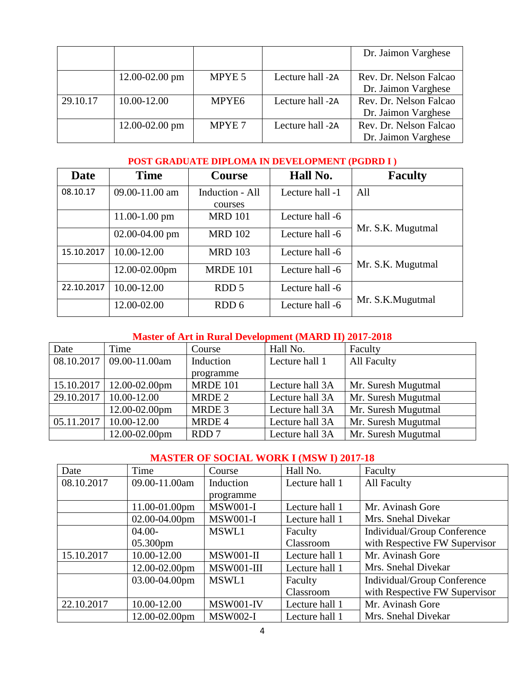|          |                    |                   |                  | Dr. Jaimon Varghese    |
|----------|--------------------|-------------------|------------------|------------------------|
|          |                    |                   |                  |                        |
|          | 12.00-02.00 pm     | MPYE 5            | Lecture hall -2A | Rev. Dr. Nelson Falcao |
|          |                    |                   |                  | Dr. Jaimon Varghese    |
| 29.10.17 | 10.00-12.00        | MPYE <sub>6</sub> | Lecture hall -2A | Rev. Dr. Nelson Falcao |
|          |                    |                   |                  | Dr. Jaimon Varghese    |
|          | $12.00 - 02.00$ pm | MPYE 7            | Lecture hall -2A | Rev. Dr. Nelson Falcao |
|          |                    |                   |                  | Dr. Jaimon Varghese    |

#### **POST GRADUATE DIPLOMA IN DEVELOPMENT (PGDRD I )**

| Date       | <b>Time</b>        | <b>Course</b>    | Hall No.        | <b>Faculty</b>    |
|------------|--------------------|------------------|-----------------|-------------------|
| 08.10.17   | 09.00-11.00 am     | Induction - All  | Lecture hall -1 | All               |
|            |                    | courses          |                 |                   |
|            | $11.00 - 1.00$ pm  | <b>MRD 101</b>   | Lecture hall -6 |                   |
|            | $02.00 - 04.00$ pm | <b>MRD 102</b>   | Lecture hall -6 | Mr. S.K. Mugutmal |
| 15.10.2017 | 10.00-12.00        | <b>MRD 103</b>   | Lecture hall -6 | Mr. S.K. Mugutmal |
|            | 12.00-02.00pm      | <b>MRDE 101</b>  | Lecture hall -6 |                   |
| 22.10.2017 | 10.00-12.00        | RDD <sub>5</sub> | Lecture hall -6 | Mr. S.K.Mugutmal  |
|            | 12.00-02.00        | RDD 6            | Lecture hall -6 |                   |

#### **Master of Art in Rural Development (MARD II) 2017-2018**

| Date       | Time                         | Course          | Hall No.        | Faculty             |
|------------|------------------------------|-----------------|-----------------|---------------------|
|            | $08.10.2017$ 09.00-11.00am   | Induction       | Lecture hall 1  | All Faculty         |
|            |                              | programme       |                 |                     |
|            | $15.10.2017$   12.00-02.00pm | <b>MRDE 101</b> | Lecture hall 3A | Mr. Suresh Mugutmal |
|            | 29.10.2017   10.00-12.00     | MRDE 2          | Lecture hall 3A | Mr. Suresh Mugutmal |
|            | 12.00-02.00pm                | MRDE 3          | Lecture hall 3A | Mr. Suresh Mugutmal |
| 05.11.2017 | 10.00-12.00                  | MRDE 4          | Lecture hall 3A | Mr. Suresh Mugutmal |
|            | 12.00-02.00pm                | RDD 7           | Lecture hall 3A | Mr. Suresh Mugutmal |

#### **MASTER OF SOCIAL WORK I (MSW I) 2017-18**

| Date       | Time               | Course           | Hall No.       | Faculty                       |
|------------|--------------------|------------------|----------------|-------------------------------|
| 08.10.2017 | 09.00-11.00am      | Induction        | Lecture hall 1 | <b>All Faculty</b>            |
|            |                    | programme        |                |                               |
|            | $11.00 - 01.00$ pm | <b>MSW001-I</b>  | Lecture hall 1 | Mr. Avinash Gore              |
|            | 02.00-04.00pm      | <b>MSW001-I</b>  | Lecture hall 1 | Mrs. Snehal Divekar           |
|            | $04.00 -$          | MSWL1            | Faculty        | Individual/Group Conference   |
|            | 05.300pm           |                  | Classroom      | with Respective FW Supervisor |
| 15.10.2017 | 10.00-12.00        | <b>MSW001-II</b> | Lecture hall 1 | Mr. Avinash Gore              |
|            | 12.00-02.00pm      | MSW001-III       | Lecture hall 1 | Mrs. Snehal Divekar           |
|            | 03.00-04.00pm      | MSWL1            | Faculty        | Individual/Group Conference   |
|            |                    |                  | Classroom      | with Respective FW Supervisor |
| 22.10.2017 | 10.00-12.00        | MSW001-IV        | Lecture hall 1 | Mr. Avinash Gore              |
|            | 12.00-02.00pm      | <b>MSW002-I</b>  | Lecture hall 1 | Mrs. Snehal Divekar           |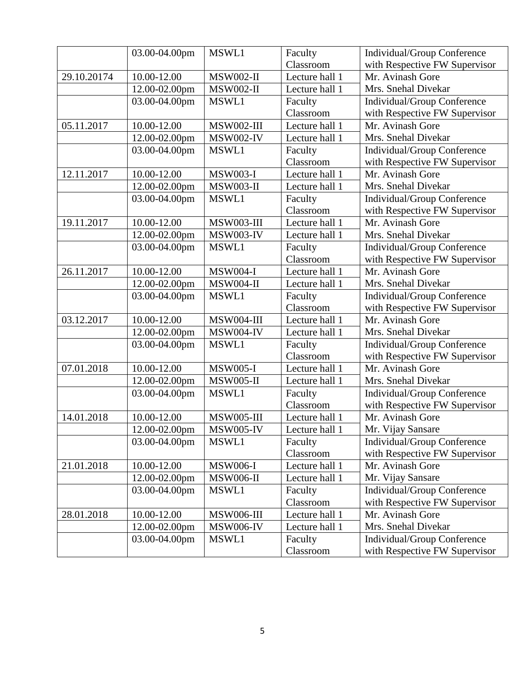|             | 03.00-04.00pm | MSWL1            | Faculty        | Individual/Group Conference   |
|-------------|---------------|------------------|----------------|-------------------------------|
|             |               |                  | Classroom      | with Respective FW Supervisor |
| 29.10.20174 | 10.00-12.00   | <b>MSW002-II</b> | Lecture hall 1 | Mr. Avinash Gore              |
|             | 12.00-02.00pm | <b>MSW002-II</b> | Lecture hall 1 | Mrs. Snehal Divekar           |
|             | 03.00-04.00pm | MSWL1            | Faculty        | Individual/Group Conference   |
|             |               |                  | Classroom      | with Respective FW Supervisor |
| 05.11.2017  | 10.00-12.00   | MSW002-III       | Lecture hall 1 | Mr. Avinash Gore              |
|             | 12.00-02.00pm | MSW002-IV        | Lecture hall 1 | Mrs. Snehal Divekar           |
|             | 03.00-04.00pm | MSWL1            | Faculty        | Individual/Group Conference   |
|             |               |                  | Classroom      | with Respective FW Supervisor |
| 12.11.2017  | 10.00-12.00   | <b>MSW003-I</b>  | Lecture hall 1 | Mr. Avinash Gore              |
|             | 12.00-02.00pm | <b>MSW003-II</b> | Lecture hall 1 | Mrs. Snehal Divekar           |
|             | 03.00-04.00pm | MSWL1            | Faculty        | Individual/Group Conference   |
|             |               |                  | Classroom      | with Respective FW Supervisor |
| 19.11.2017  | 10.00-12.00   | MSW003-III       | Lecture hall 1 | Mr. Avinash Gore              |
|             | 12.00-02.00pm | MSW003-IV        | Lecture hall 1 | Mrs. Snehal Divekar           |
|             | 03.00-04.00pm | MSWL1            | Faculty        | Individual/Group Conference   |
|             |               |                  | Classroom      | with Respective FW Supervisor |
| 26.11.2017  | 10.00-12.00   | <b>MSW004-I</b>  | Lecture hall 1 | Mr. Avinash Gore              |
|             | 12.00-02.00pm | <b>MSW004-II</b> | Lecture hall 1 | Mrs. Snehal Divekar           |
|             | 03.00-04.00pm | MSWL1            | Faculty        | Individual/Group Conference   |
|             |               |                  | Classroom      | with Respective FW Supervisor |
| 03.12.2017  | 10.00-12.00   | MSW004-III       | Lecture hall 1 | Mr. Avinash Gore              |
|             | 12.00-02.00pm | MSW004-IV        | Lecture hall 1 | Mrs. Snehal Divekar           |
|             | 03.00-04.00pm | MSWL1            | Faculty        | Individual/Group Conference   |
|             |               |                  | Classroom      | with Respective FW Supervisor |
| 07.01.2018  | 10.00-12.00   | <b>MSW005-I</b>  | Lecture hall 1 | Mr. Avinash Gore              |
|             | 12.00-02.00pm | <b>MSW005-II</b> | Lecture hall 1 | Mrs. Snehal Divekar           |
|             | 03.00-04.00pm | MSWL1            | Faculty        | Individual/Group Conference   |
|             |               |                  | Classroom      | with Respective FW Supervisor |
| 14.01.2018  | 10.00-12.00   | MSW005-III       | Lecture hall 1 | Mr. Avinash Gore              |
|             | 12.00-02.00pm | MSW005-IV        | Lecture hall 1 | Mr. Vijay Sansare             |
|             | 03.00-04.00pm | MSWL1            | Faculty        | Individual/Group Conference   |
|             |               |                  | Classroom      | with Respective FW Supervisor |
| 21.01.2018  | 10.00-12.00   | <b>MSW006-I</b>  | Lecture hall 1 | Mr. Avinash Gore              |
|             | 12.00-02.00pm | <b>MSW006-II</b> | Lecture hall 1 | Mr. Vijay Sansare             |
|             | 03.00-04.00pm | MSWL1            | Faculty        | Individual/Group Conference   |
|             |               |                  | Classroom      | with Respective FW Supervisor |
| 28.01.2018  | 10.00-12.00   | MSW006-III       | Lecture hall 1 | Mr. Avinash Gore              |
|             | 12.00-02.00pm | <b>MSW006-IV</b> | Lecture hall 1 | Mrs. Snehal Divekar           |
|             | 03.00-04.00pm | MSWL1            | Faculty        | Individual/Group Conference   |
|             |               |                  | Classroom      | with Respective FW Supervisor |
|             |               |                  |                |                               |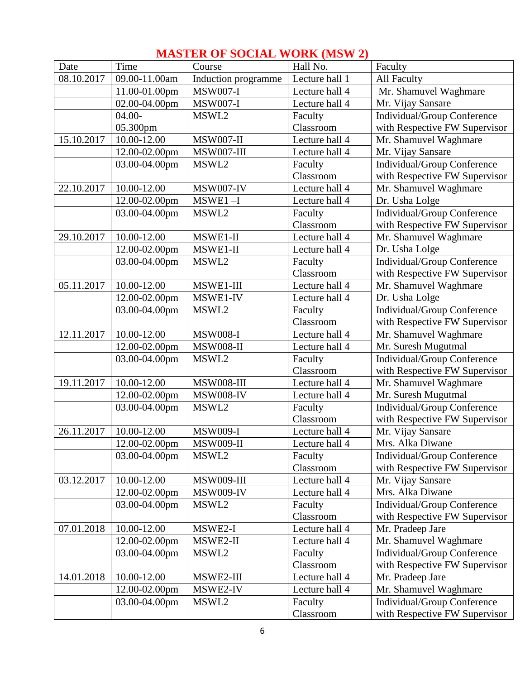|            |               | <b>INTAD LEA OF DOCTAL WORK (MDW 2)</b> |                |                               |
|------------|---------------|-----------------------------------------|----------------|-------------------------------|
| Date       | Time          | Course                                  | Hall No.       | Faculty                       |
| 08.10.2017 | 09.00-11.00am | Induction programme                     | Lecture hall 1 | All Faculty                   |
|            | 11.00-01.00pm | <b>MSW007-I</b>                         | Lecture hall 4 | Mr. Shamuvel Waghmare         |
|            | 02.00-04.00pm | <b>MSW007-I</b>                         | Lecture hall 4 | Mr. Vijay Sansare             |
|            | $04.00 -$     | MSWL2                                   | Faculty        | Individual/Group Conference   |
|            | 05.300pm      |                                         | Classroom      | with Respective FW Supervisor |
| 15.10.2017 | 10.00-12.00   | MSW007-II                               | Lecture hall 4 | Mr. Shamuvel Waghmare         |
|            | 12.00-02.00pm | MSW007-III                              | Lecture hall 4 | Mr. Vijay Sansare             |
|            | 03.00-04.00pm | MSWL2                                   | Faculty        | Individual/Group Conference   |
|            |               |                                         | Classroom      | with Respective FW Supervisor |
| 22.10.2017 | 10.00-12.00   | MSW007-IV                               | Lecture hall 4 | Mr. Shamuvel Waghmare         |
|            | 12.00-02.00pm | $MSWE1 - I$                             | Lecture hall 4 | Dr. Usha Lolge                |
|            | 03.00-04.00pm | MSWL2                                   | Faculty        | Individual/Group Conference   |
|            |               |                                         | Classroom      | with Respective FW Supervisor |
| 29.10.2017 | 10.00-12.00   | $MSWE1-II$                              | Lecture hall 4 | Mr. Shamuvel Waghmare         |
|            | 12.00-02.00pm | MSWE1-II                                | Lecture hall 4 | Dr. Usha Lolge                |
|            | 03.00-04.00pm | MSWL2                                   | Faculty        | Individual/Group Conference   |
|            |               |                                         | Classroom      | with Respective FW Supervisor |
| 05.11.2017 | 10.00-12.00   | MSWE1-III                               | Lecture hall 4 | Mr. Shamuvel Waghmare         |
|            | 12.00-02.00pm | MSWE1-IV                                | Lecture hall 4 | Dr. Usha Lolge                |
|            | 03.00-04.00pm | MSWL2                                   | Faculty        | Individual/Group Conference   |
|            |               |                                         | Classroom      | with Respective FW Supervisor |
| 12.11.2017 | 10.00-12.00   | <b>MSW008-I</b>                         | Lecture hall 4 | Mr. Shamuvel Waghmare         |
|            | 12.00-02.00pm | <b>MSW008-II</b>                        | Lecture hall 4 | Mr. Suresh Mugutmal           |
|            | 03.00-04.00pm | MSWL2                                   | Faculty        | Individual/Group Conference   |
|            |               |                                         | Classroom      | with Respective FW Supervisor |
| 19.11.2017 | 10.00-12.00   | MSW008-III                              | Lecture hall 4 | Mr. Shamuvel Waghmare         |
|            | 12.00-02.00pm | <b>MSW008-IV</b>                        | Lecture hall 4 | Mr. Suresh Mugutmal           |
|            | 03.00-04.00pm | MSWL2                                   | Faculty        | Individual/Group Conference   |
|            |               |                                         | Classroom      | with Respective FW Supervisor |
| 26.11.2017 | 10.00-12.00   | <b>MSW009-I</b>                         | Lecture hall 4 | Mr. Vijay Sansare             |
|            | 12.00-02.00pm | <b>MSW009-II</b>                        | Lecture hall 4 | Mrs. Alka Diwane              |
|            | 03.00-04.00pm | MSWL2                                   | Faculty        | Individual/Group Conference   |
|            |               |                                         | Classroom      | with Respective FW Supervisor |
| 03.12.2017 | 10.00-12.00   | MSW009-III                              | Lecture hall 4 | Mr. Vijay Sansare             |
|            | 12.00-02.00pm | <b>MSW009-IV</b>                        | Lecture hall 4 | Mrs. Alka Diwane              |
|            | 03.00-04.00pm | MSWL2                                   | Faculty        | Individual/Group Conference   |
|            |               |                                         | Classroom      | with Respective FW Supervisor |
| 07.01.2018 | 10.00-12.00   | MSWE2-I                                 | Lecture hall 4 | Mr. Pradeep Jare              |
|            | 12.00-02.00pm | MSWE2-II                                | Lecture hall 4 | Mr. Shamuvel Waghmare         |
|            | 03.00-04.00pm | MSWL2                                   | Faculty        | Individual/Group Conference   |
|            |               |                                         | Classroom      | with Respective FW Supervisor |
| 14.01.2018 | 10.00-12.00   | MSWE2-III                               | Lecture hall 4 | Mr. Pradeep Jare              |
|            | 12.00-02.00pm | MSWE2-IV                                | Lecture hall 4 | Mr. Shamuvel Waghmare         |
|            | 03.00-04.00pm | MSWL2                                   | Faculty        | Individual/Group Conference   |
|            |               |                                         | Classroom      | with Respective FW Supervisor |

## **MASTER OF SOCIAL WORK (MSW 2)**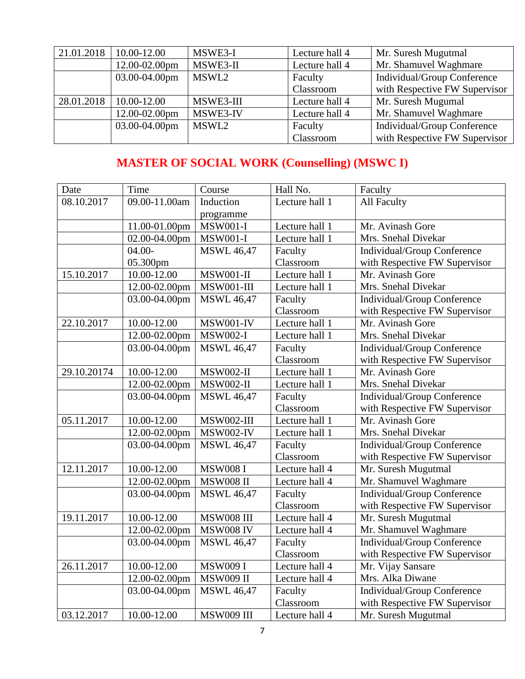| 21.01.2018 | 10.00-12.00   | MSWE3-I   | Lecture hall 4 | Mr. Suresh Mugutmal           |
|------------|---------------|-----------|----------------|-------------------------------|
|            | 12.00-02.00pm | MSWE3-II  | Lecture hall 4 | Mr. Shamuvel Waghmare         |
|            | 03.00-04.00pm | MSWL2     | Faculty        | Individual/Group Conference   |
|            |               |           | Classroom      | with Respective FW Supervisor |
| 28.01.2018 | 10.00-12.00   | MSWE3-III | Lecture hall 4 | Mr. Suresh Mugumal            |
|            | 12.00-02.00pm | MSWE3-IV  | Lecture hall 4 | Mr. Shamuvel Waghmare         |
|            | 03.00-04.00pm | MSWL2     | Faculty        | Individual/Group Conference   |
|            |               |           | Classroom      | with Respective FW Supervisor |

# **MASTER OF SOCIAL WORK (Counselling) (MSWC I)**

| Date        | Time          | Course            | Hall No.         | Faculty                            |  |
|-------------|---------------|-------------------|------------------|------------------------------------|--|
| 08.10.2017  | 09.00-11.00am | Induction         | Lecture hall 1   | <b>All Faculty</b>                 |  |
|             |               | programme         |                  |                                    |  |
|             | 11.00-01.00pm | <b>MSW001-I</b>   | Lecture hall 1   | Mr. Avinash Gore                   |  |
|             | 02.00-04.00pm | <b>MSW001-I</b>   | Lecture hall $1$ | Mrs. Snehal Divekar                |  |
|             | $04.00 -$     | <b>MSWL 46,47</b> | Faculty          | Individual/Group Conference        |  |
|             | 05.300pm      |                   | Classroom        | with Respective FW Supervisor      |  |
| 15.10.2017  | 10.00-12.00   | <b>MSW001-II</b>  | Lecture hall 1   | Mr. Avinash Gore                   |  |
|             | 12.00-02.00pm | MSW001-III        | Lecture hall 1   | Mrs. Snehal Divekar                |  |
|             | 03.00-04.00pm | <b>MSWL 46,47</b> | Faculty          | Individual/Group Conference        |  |
|             |               |                   | Classroom        | with Respective FW Supervisor      |  |
| 22.10.2017  | 10.00-12.00   | MSW001-IV         | Lecture hall 1   | Mr. Avinash Gore                   |  |
|             | 12.00-02.00pm | <b>MSW002-I</b>   | Lecture hall 1   | Mrs. Snehal Divekar                |  |
|             | 03.00-04.00pm | <b>MSWL 46,47</b> | Faculty          | <b>Individual/Group Conference</b> |  |
|             |               |                   | Classroom        | with Respective FW Supervisor      |  |
| 29.10.20174 | 10.00-12.00   | <b>MSW002-II</b>  | Lecture hall 1   | Mr. Avinash Gore                   |  |
|             | 12.00-02.00pm | <b>MSW002-II</b>  | Lecture hall 1   | Mrs. Snehal Divekar                |  |
|             | 03.00-04.00pm | <b>MSWL 46,47</b> | Faculty          | Individual/Group Conference        |  |
|             |               |                   | Classroom        | with Respective FW Supervisor      |  |
| 05.11.2017  | 10.00-12.00   | MSW002-III        | Lecture hall 1   | Mr. Avinash Gore                   |  |
|             | 12.00-02.00pm | <b>MSW002-IV</b>  | Lecture hall 1   | Mrs. Snehal Divekar                |  |
|             | 03.00-04.00pm | <b>MSWL 46,47</b> | Faculty          | Individual/Group Conference        |  |
|             |               |                   | Classroom        | with Respective FW Supervisor      |  |
| 12.11.2017  | 10.00-12.00   | <b>MSW008 I</b>   | Lecture hall 4   | Mr. Suresh Mugutmal                |  |
|             | 12.00-02.00pm | <b>MSW008 II</b>  | Lecture hall 4   | Mr. Shamuvel Waghmare              |  |
|             | 03.00-04.00pm | <b>MSWL 46,47</b> | Faculty          | Individual/Group Conference        |  |
|             |               |                   | Classroom        | with Respective FW Supervisor      |  |
| 19.11.2017  | 10.00-12.00   | <b>MSW008 III</b> | Lecture hall 4   | Mr. Suresh Mugutmal                |  |
|             | 12.00-02.00pm | <b>MSW008 IV</b>  | Lecture hall 4   | Mr. Shamuvel Waghmare              |  |
|             | 03.00-04.00pm | <b>MSWL 46,47</b> | Faculty          | Individual/Group Conference        |  |
|             |               |                   | Classroom        | with Respective FW Supervisor      |  |
| 26.11.2017  | 10.00-12.00   | <b>MSW009 I</b>   | Lecture hall 4   | Mr. Vijay Sansare                  |  |
|             | 12.00-02.00pm | <b>MSW009 II</b>  | Lecture hall 4   | Mrs. Alka Diwane                   |  |
|             | 03.00-04.00pm | <b>MSWL 46,47</b> | Faculty          | <b>Individual/Group Conference</b> |  |
|             |               |                   | Classroom        | with Respective FW Supervisor      |  |
| 03.12.2017  | 10.00-12.00   | <b>MSW009 III</b> | Lecture hall 4   | Mr. Suresh Mugutmal                |  |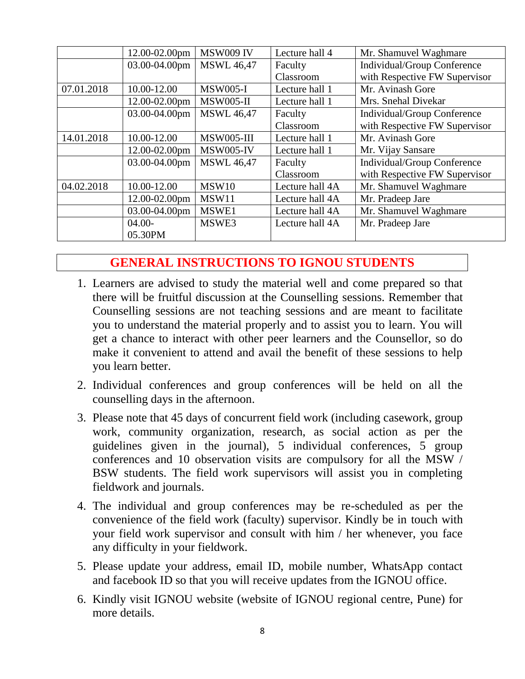|            | 12.00-02.00pm      | <b>MSW009 IV</b>  | Lecture hall 4  | Mr. Shamuvel Waghmare         |
|------------|--------------------|-------------------|-----------------|-------------------------------|
|            | 03.00-04.00pm      | <b>MSWL 46,47</b> | Faculty         | Individual/Group Conference   |
|            |                    |                   | Classroom       | with Respective FW Supervisor |
| 07.01.2018 | 10.00-12.00        | <b>MSW005-I</b>   | Lecture hall 1  | Mr. Avinash Gore              |
|            | 12.00-02.00pm      | <b>MSW005-II</b>  | Lecture hall 1  | Mrs. Snehal Divekar           |
|            | 03.00-04.00pm      | <b>MSWL 46,47</b> | Faculty         | Individual/Group Conference   |
|            |                    |                   | Classroom       | with Respective FW Supervisor |
| 14.01.2018 | 10.00-12.00        | MSW005-III        | Lecture hall 1  | Mr. Avinash Gore              |
|            | $12.00 - 02.00$ pm | <b>MSW005-IV</b>  | Lecture hall 1  | Mr. Vijay Sansare             |
|            | 03.00-04.00pm      | <b>MSWL 46,47</b> | Faculty         | Individual/Group Conference   |
|            |                    |                   | Classroom       | with Respective FW Supervisor |
| 04.02.2018 | 10.00-12.00        | MSW10             | Lecture hall 4A | Mr. Shamuvel Waghmare         |
|            | 12.00-02.00pm      | MSW11             | Lecture hall 4A | Mr. Pradeep Jare              |
|            | 03.00-04.00pm      | MSWE1             | Lecture hall 4A | Mr. Shamuvel Waghmare         |
|            | $04.00-$           | MSWE3             | Lecture hall 4A | Mr. Pradeep Jare              |
|            | 05.30PM            |                   |                 |                               |

## **GENERAL INSTRUCTIONS TO IGNOU STUDENTS**

- 1. Learners are advised to study the material well and come prepared so that there will be fruitful discussion at the Counselling sessions. Remember that Counselling sessions are not teaching sessions and are meant to facilitate you to understand the material properly and to assist you to learn. You will get a chance to interact with other peer learners and the Counsellor, so do make it convenient to attend and avail the benefit of these sessions to help you learn better.
- 2. Individual conferences and group conferences will be held on all the counselling days in the afternoon.
- 3. Please note that 45 days of concurrent field work (including casework, group work, community organization, research, as social action as per the guidelines given in the journal), 5 individual conferences, 5 group conferences and 10 observation visits are compulsory for all the MSW / BSW students. The field work supervisors will assist you in completing fieldwork and journals.
- 4. The individual and group conferences may be re-scheduled as per the convenience of the field work (faculty) supervisor. Kindly be in touch with your field work supervisor and consult with him / her whenever, you face any difficulty in your fieldwork.
- 5. Please update your address, email ID, mobile number, WhatsApp contact and facebook ID so that you will receive updates from the IGNOU office.
- 6. Kindly visit IGNOU website (website of IGNOU regional centre, Pune) for more details.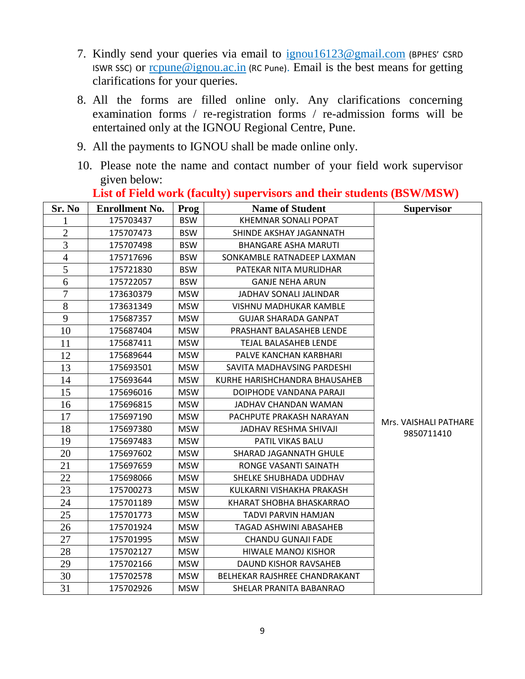- 7. Kindly send your queries via email to [ignou16123@gmail.com](mailto:ignou16123@gmail.com) (BPHES' CSRD ISWR SSC) or [rcpune@ignou.ac.in](mailto:rcpune@ignou.ac.in) (RC Pune). Email is the best means for getting clarifications for your queries.
- 8. All the forms are filled online only. Any clarifications concerning examination forms / re-registration forms / re-admission forms will be entertained only at the IGNOU Regional Centre, Pune.
- 9. All the payments to IGNOU shall be made online only.
- 10. Please note the name and contact number of your field work supervisor given below:

| Sr. No         | <b>Enrollment No.</b> | <b>Prog</b> | <b>Name of Student</b>        | <b>Supervisor</b>     |
|----------------|-----------------------|-------------|-------------------------------|-----------------------|
| 1              | 175703437             | <b>BSW</b>  | KHEMNAR SONALI POPAT          |                       |
| $\overline{2}$ | 175707473             | <b>BSW</b>  | SHINDE AKSHAY JAGANNATH       |                       |
| 3              | 175707498             | <b>BSW</b>  | <b>BHANGARE ASHA MARUTI</b>   |                       |
| $\overline{4}$ | 175717696             | <b>BSW</b>  | SONKAMBLE RATNADEEP LAXMAN    |                       |
| 5              | 175721830             | <b>BSW</b>  | PATEKAR NITA MURLIDHAR        |                       |
| 6              | 175722057             | <b>BSW</b>  | <b>GANJE NEHA ARUN</b>        |                       |
| 7              | 173630379             | MSW         | JADHAV SONALI JALINDAR        |                       |
| 8              | 173631349             | <b>MSW</b>  | VISHNU MADHUKAR KAMBLE        |                       |
| 9              | 175687357             | <b>MSW</b>  | <b>GUJAR SHARADA GANPAT</b>   |                       |
| 10             | 175687404             | <b>MSW</b>  | PRASHANT BALASAHEB LENDE      |                       |
| 11             | 175687411             | <b>MSW</b>  | TEJAL BALASAHEB LENDE         |                       |
| 12             | 175689644             | <b>MSW</b>  | PALVE KANCHAN KARBHARI        |                       |
| 13             | 175693501             | <b>MSW</b>  | SAVITA MADHAVSING PARDESHI    |                       |
| 14             | 175693644             | <b>MSW</b>  | KURHE HARISHCHANDRA BHAUSAHEB |                       |
| 15             | 175696016             | <b>MSW</b>  | DOIPHODE VANDANA PARAJI       |                       |
| 16             | 175696815             | MSW         | JADHAV CHANDAN WAMAN          |                       |
| 17             | 175697190             | MSW         | PACHPUTE PRAKASH NARAYAN      | Mrs. VAISHALI PATHARE |
| 18             | 175697380             | <b>MSW</b>  | JADHAV RESHMA SHIVAJI         | 9850711410            |
| 19             | 175697483             | <b>MSW</b>  | PATIL VIKAS BALU              |                       |
| 20             | 175697602             | <b>MSW</b>  | SHARAD JAGANNATH GHULE        |                       |
| 21             | 175697659             | <b>MSW</b>  | RONGE VASANTI SAINATH         |                       |
| 22             | 175698066             | <b>MSW</b>  | SHELKE SHUBHADA UDDHAV        |                       |
| 23             | 175700273             | MSW         | KULKARNI VISHAKHA PRAKASH     |                       |
| 24             | 175701189             | <b>MSW</b>  | KHARAT SHOBHA BHASKARRAO      |                       |
| 25             | 175701773             | <b>MSW</b>  | TADVI PARVIN HAMJAN           |                       |
| 26             | 175701924             | MSW         | TAGAD ASHWINI ABASAHEB        |                       |
| 27             | 175701995             | <b>MSW</b>  | CHANDU GUNAJI FADE            |                       |
| 28             | 175702127             | <b>MSW</b>  | <b>HIWALE MANOJ KISHOR</b>    |                       |
| 29             | 175702166             | <b>MSW</b>  | DAUND KISHOR RAVSAHEB         |                       |
| 30             | 175702578             | <b>MSW</b>  | BELHEKAR RAJSHREE CHANDRAKANT |                       |
| 31             | 175702926             | <b>MSW</b>  | SHELAR PRANITA BABANRAO       |                       |

## **List of Field work (faculty) supervisors and their students (BSW/MSW)**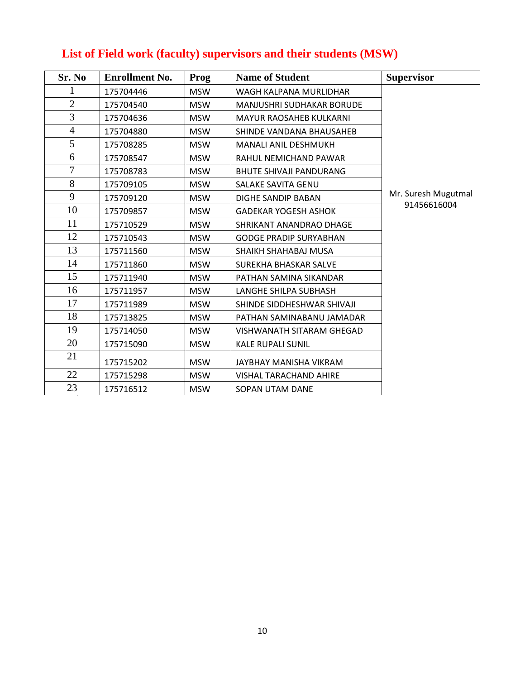# **List of Field work (faculty) supervisors and their students (MSW)**

| Sr. No         | <b>Enrollment No.</b> | <b>Prog</b> | <b>Name of Student</b>         | <b>Supervisor</b>   |
|----------------|-----------------------|-------------|--------------------------------|---------------------|
| 1              | 175704446             | <b>MSW</b>  | WAGH KALPANA MURLIDHAR         |                     |
| $\mathbf{2}$   | 175704540             | <b>MSW</b>  | MANJUSHRI SUDHAKAR BORUDE      |                     |
| 3              | 175704636             | <b>MSW</b>  | <b>MAYUR RAOSAHEB KULKARNI</b> |                     |
| $\overline{4}$ | 175704880             | <b>MSW</b>  | SHINDE VANDANA BHAUSAHEB       |                     |
| 5              | 175708285             | <b>MSW</b>  | MANALI ANIL DESHMUKH           |                     |
| 6              | 175708547             | <b>MSW</b>  | RAHUL NEMICHAND PAWAR          |                     |
| 7              | 175708783             | <b>MSW</b>  | <b>BHUTE SHIVAJI PANDURANG</b> |                     |
| 8              | 175709105             | <b>MSW</b>  | <b>SALAKE SAVITA GENU</b>      |                     |
| 9              | 175709120             | <b>MSW</b>  | DIGHE SANDIP BABAN             | Mr. Suresh Mugutmal |
| 10             | 175709857             | <b>MSW</b>  | <b>GADEKAR YOGESH ASHOK</b>    | 91456616004         |
| 11             | 175710529             | <b>MSW</b>  | SHRIKANT ANANDRAO DHAGE        |                     |
| 12             | 175710543             | <b>MSW</b>  | <b>GODGE PRADIP SURYABHAN</b>  |                     |
| 13             | 175711560             | <b>MSW</b>  | SHAIKH SHAHABAJ MUSA           |                     |
| 14             | 175711860             | <b>MSW</b>  | SUREKHA BHASKAR SALVE          |                     |
| 15             | 175711940             | <b>MSW</b>  | PATHAN SAMINA SIKANDAR         |                     |
| 16             | 175711957             | <b>MSW</b>  | LANGHE SHILPA SUBHASH          |                     |
| 17             | 175711989             | <b>MSW</b>  | SHINDE SIDDHESHWAR SHIVAJI     |                     |
| 18             | 175713825             | <b>MSW</b>  | PATHAN SAMINABANU JAMADAR      |                     |
| 19             | 175714050             | <b>MSW</b>  | VISHWANATH SITARAM GHEGAD      |                     |
| 20             | 175715090             | <b>MSW</b>  | <b>KALE RUPALI SUNIL</b>       |                     |
| 21             | 175715202             | <b>MSW</b>  | JAYBHAY MANISHA VIKRAM         |                     |
| 22             | 175715298             | <b>MSW</b>  | <b>VISHAL TARACHAND AHIRE</b>  |                     |
| 23             | 175716512             | <b>MSW</b>  | SOPAN UTAM DANE                |                     |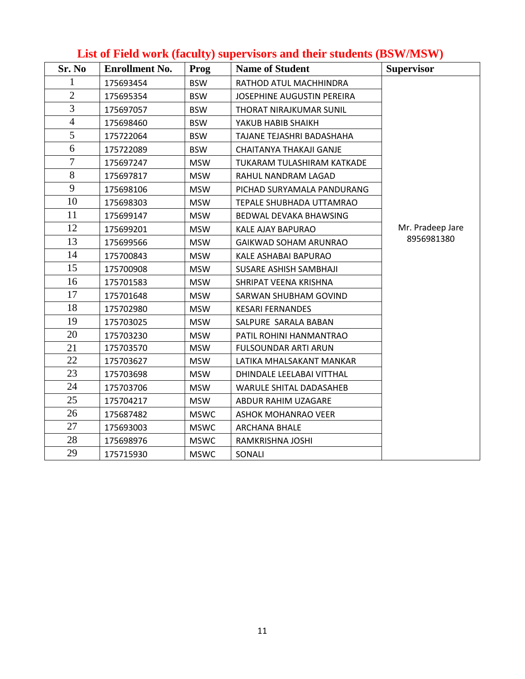| Sr. No         | <b>Enrollment No.</b> | Prog        | <b>Name of Student</b>         | <b>Supervisor</b> |
|----------------|-----------------------|-------------|--------------------------------|-------------------|
| 1              | 175693454             | <b>BSW</b>  | RATHOD ATUL MACHHINDRA         |                   |
| $\overline{2}$ | 175695354             | <b>BSW</b>  | JOSEPHINE AUGUSTIN PEREIRA     |                   |
| 3              | 175697057             | <b>BSW</b>  | THORAT NIRAJKUMAR SUNIL        |                   |
| $\overline{4}$ | 175698460             | <b>BSW</b>  | YAKUB HABIB SHAIKH             |                   |
| 5              | 175722064             | <b>BSW</b>  | TAJANE TEJASHRI BADASHAHA      |                   |
| 6              | 175722089             | <b>BSW</b>  | CHAITANYA THAKAJI GANJE        |                   |
| 7              | 175697247             | <b>MSW</b>  | TUKARAM TULASHIRAM KATKADE     |                   |
| 8              | 175697817             | <b>MSW</b>  | RAHUL NANDRAM LAGAD            |                   |
| 9              | 175698106             | <b>MSW</b>  | PICHAD SURYAMALA PANDURANG     |                   |
| 10             | 175698303             | <b>MSW</b>  | TEPALE SHUBHADA UTTAMRAO       |                   |
| 11             | 175699147             | <b>MSW</b>  | BEDWAL DEVAKA BHAWSING         |                   |
| 12             | 175699201             | <b>MSW</b>  | KALE AJAY BAPURAO              | Mr. Pradeep Jare  |
| 13             | 175699566             | <b>MSW</b>  | GAIKWAD SOHAM ARUNRAO          | 8956981380        |
| 14             | 175700843             | <b>MSW</b>  | KALE ASHABAI BAPURAO           |                   |
| 15             | 175700908             | <b>MSW</b>  | SUSARE ASHISH SAMBHAJI         |                   |
| 16             | 175701583             | <b>MSW</b>  | SHRIPAT VEENA KRISHNA          |                   |
| 17             | 175701648             | <b>MSW</b>  | SARWAN SHUBHAM GOVIND          |                   |
| 18             | 175702980             | <b>MSW</b>  | <b>KESARI FERNANDES</b>        |                   |
| 19             | 175703025             | <b>MSW</b>  | SALPURE SARALA BABAN           |                   |
| 20             | 175703230             | <b>MSW</b>  | PATIL ROHINI HANMANTRAO        |                   |
| 21             | 175703570             | <b>MSW</b>  | FULSOUNDAR ARTI ARUN           |                   |
| 22             | 175703627             | <b>MSW</b>  | LATIKA MHALSAKANT MANKAR       |                   |
| 23             | 175703698             | <b>MSW</b>  | DHINDALE LEELABAI VITTHAL      |                   |
| 24             | 175703706             | <b>MSW</b>  | <b>WARULE SHITAL DADASAHEB</b> |                   |
| 25             | 175704217             | <b>MSW</b>  | ABDUR RAHIM UZAGARE            |                   |
| 26             | 175687482             | <b>MSWC</b> | <b>ASHOK MOHANRAO VEER</b>     |                   |
| 27             | 175693003             | <b>MSWC</b> | <b>ARCHANA BHALE</b>           |                   |
| 28             | 175698976             | <b>MSWC</b> | RAMKRISHNA JOSHI               |                   |
| 29             | 175715930             | <b>MSWC</b> | SONALI                         |                   |

## **List of Field work (faculty) supervisors and their students (BSW/MSW)**